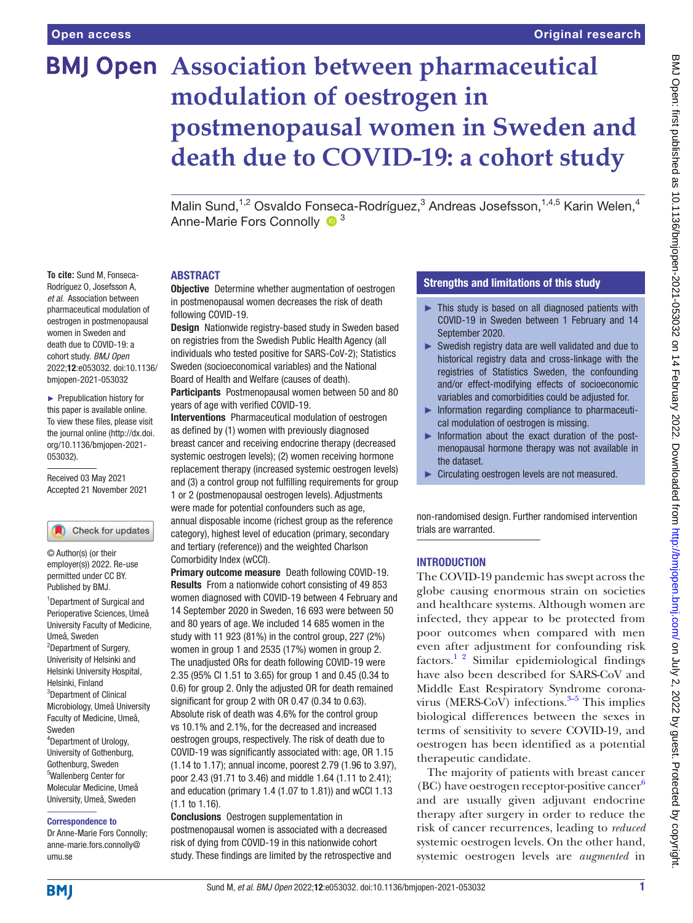# **BMJ Open** Association between pharmaceutical **modulation of oestrogen in postmenopausal women in Sweden and death due to COVID-19: a cohort study**

Malin Sund,<sup>1,2</sup> Osvaldo Fonseca-Rodríguez,<sup>3</sup> Andreas Josefsson,<sup>1,4,5</sup> Karin Welen,<sup>4</sup> Anne-Marie Fors Connolly  $\bullet$ <sup>3</sup>

## ABSTRACT

**To cite:** Sund M, Fonseca-Rodríguez O, Josefsson A, *et al*. Association between pharmaceutical modulation of oestrogen in postmenopausal women in Sweden and death due to COVID-19: a cohort study. *BMJ Open* 2022;12:e053032. doi:10.1136/ bmjopen-2021-053032

► Prepublication history for this paper is available online. To view these files, please visit the journal online [\(http://dx.doi.](http://dx.doi.org/10.1136/bmjopen-2021-053032) [org/10.1136/bmjopen-2021-](http://dx.doi.org/10.1136/bmjopen-2021-053032) [053032\)](http://dx.doi.org/10.1136/bmjopen-2021-053032).

Received 03 May 2021 Accepted 21 November 2021

## Check for updates

© Author(s) (or their employer(s)) 2022. Re-use permitted under CC BY. Published by BMJ.

<sup>1</sup>Department of Surgical and Perioperative Sciences, Umeå University Faculty of Medicine, Umeå, Sweden <sup>2</sup>Department of Surgery, Univerisity of Helsinki and Helsinki University Hospital, Helsinki, Finland <sup>3</sup>Department of Clinical Microbiology, Umeå University Faculty of Medicine, Umeå, Sweden 4 Department of Urology, University of Gothenburg, Gothenburg, Sweden 5 Wallenberg Center for Molecular Medicine, Umeå University, Umeå, Sweden

#### Correspondence to

Dr Anne-Marie Fors Connolly; anne-marie.fors.connolly@ umu.se

**Objective** Determine whether augmentation of oestrogen in postmenopausal women decreases the risk of death following COVID-19.

Design Nationwide registry-based study in Sweden based on registries from the Swedish Public Health Agency (all individuals who tested positive for SARS-CoV-2); Statistics Sweden (socioeconomical variables) and the National Board of Health and Welfare (causes of death).

Participants Postmenopausal women between 50 and 80 years of age with verified COVID-19.

Interventions Pharmaceutical modulation of oestrogen as defined by (1) women with previously diagnosed breast cancer and receiving endocrine therapy (decreased systemic oestrogen levels); (2) women receiving hormone replacement therapy (increased systemic oestrogen levels) and (3) a control group not fulfilling requirements for group 1 or 2 (postmenopausal oestrogen levels). Adjustments were made for potential confounders such as age, annual disposable income (richest group as the reference category), highest level of education (primary, secondary and tertiary (reference)) and the weighted Charlson Comorbidity Index (wCCI).

Primary outcome measure Death following COVID-19. Results From a nationwide cohort consisting of 49 853 women diagnosed with COVID-19 between 4 February and 14 September 2020 in Sweden, 16 693 were between 50 and 80 years of age. We included 14 685 women in the study with 11 923 (81%) in the control group, 227 (2%) women in group 1 and 2535 (17%) women in group 2. The unadjusted ORs for death following COVID-19 were 2.35 (95% CI 1.51 to 3.65) for group 1 and 0.45 (0.34 to 0.6) for group 2. Only the adjusted OR for death remained significant for group 2 with OR 0.47 (0.34 to 0.63). Absolute risk of death was 4.6% for the control group vs 10.1% and 2.1%, for the decreased and increased oestrogen groups, respectively. The risk of death due to COVID-19 was significantly associated with: age, OR 1.15 (1.14 to 1.17); annual income, poorest 2.79 (1.96 to 3.97), poor 2.43 (91.71 to 3.46) and middle 1.64 (1.11 to 2.41); and education (primary 1.4 (1.07 to 1.81)) and wCCI 1.13 (1.1 to 1.16).

Conclusions Oestrogen supplementation in postmenopausal women is associated with a decreased risk of dying from COVID-19 in this nationwide cohort study. These findings are limited by the retrospective and

## Strengths and limitations of this study

- ► This study is based on all diagnosed patients with COVID-19 in Sweden between 1 February and 14 September 2020.
- ► Swedish registry data are well validated and due to historical registry data and cross-linkage with the registries of Statistics Sweden, the confounding and/or effect-modifying effects of socioeconomic variables and comorbidities could be adjusted for.
- ► Information regarding compliance to pharmaceutical modulation of oestrogen is missing.
- ► Information about the exact duration of the postmenopausal hormone therapy was not available in the dataset.
- ► Circulating oestrogen levels are not measured.

non-randomised design. Further randomised intervention trials are warranted.

## **INTRODUCTION**

The COVID-19 pandemic has swept across the globe causing enormous strain on societies and healthcare systems. Although women are infected, they appear to be protected from poor outcomes when compared with men even after adjustment for confounding risk factors. $12$  Similar epidemiological findings have also been described for SARS-CoV and Middle East Respiratory Syndrome coronavirus (MERS-CoV) infections. $3-5$  This implies biological differences between the sexes in terms of sensitivity to severe COVID-19, and oestrogen has been identified as a potential therapeutic candidate.

The majority of patients with breast cancer (BC) have oestrogen receptor-positive cancer $6$ and are usually given adjuvant endocrine therapy after surgery in order to reduce the risk of cancer recurrences, leading to *reduced* systemic oestrogen levels. On the other hand, systemic oestrogen levels are *augmented* in

**BMI**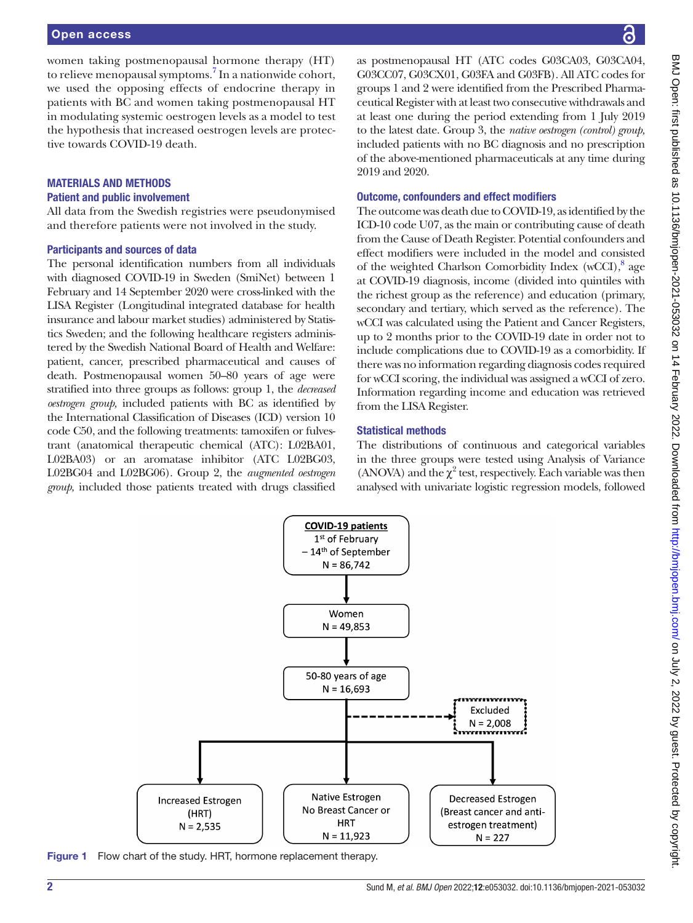women taking postmenopausal hormone therapy (HT) to relieve menopausal symptoms.<sup>[7](#page-4-3)</sup> In a nationwide cohort, we used the opposing effects of endocrine therapy in patients with BC and women taking postmenopausal HT in modulating systemic oestrogen levels as a model to test the hypothesis that increased oestrogen levels are protective towards COVID-19 death.

## MATERIALS AND METHODS

## Patient and public involvement

All data from the Swedish registries were pseudonymised and therefore patients were not involved in the study.

## Participants and sources of data

The personal identification numbers from all individuals with diagnosed COVID-19 in Sweden (SmiNet) between 1 February and 14 September 2020 were cross-linked with the LISA Register (Longitudinal integrated database for health insurance and labour market studies) administered by Statistics Sweden; and the following healthcare registers administered by the Swedish National Board of Health and Welfare: patient, cancer, prescribed pharmaceutical and causes of death. Postmenopausal women 50–80 years of age were stratified into three groups as follows: group 1, the *decreased oestrogen group,* included patients with BC as identified by the International Classification of Diseases (ICD) version 10 code C50, and the following treatments: tamoxifen or fulvestrant (anatomical therapeutic chemical (ATC): L02BA01, L02BA03) or an aromatase inhibitor (ATC L02BG03, L02BG04 and L02BG06). Group 2, the *augmented oestrogen group,* included those patients treated with drugs classified

as postmenopausal HT (ATC codes G03CA03, G03CA04, G03CC07, G03CX01, G03FA and G03FB). All ATC codes for groups 1 and 2 were identified from the Prescribed Pharmaceutical Register with at least two consecutive withdrawals and at least one during the period extending from 1 July 2019 to the latest date. Group 3, the *native oestrogen (control) group,* included patients with no BC diagnosis and no prescription of the above-mentioned pharmaceuticals at any time during 2019 and 2020.

## Outcome, confounders and effect modifiers

The outcome was death due to COVID-19, as identified by the ICD-10 code U07, as the main or contributing cause of death from the Cause of Death Register. Potential confounders and effect modifiers were included in the model and consisted of the weighted Charlson Comorbidity Index (wCCI),<sup>[8](#page-4-4)</sup> age at COVID-19 diagnosis, income (divided into quintiles with the richest group as the reference) and education (primary, secondary and tertiary, which served as the reference). The wCCI was calculated using the Patient and Cancer Registers, up to 2 months prior to the COVID-19 date in order not to include complications due to COVID-19 as a comorbidity. If there was no information regarding diagnosis codes required for wCCI scoring, the individual was assigned a wCCI of zero. Information regarding income and education was retrieved from the LISA Register.

## Statistical methods

The distributions of continuous and categorical variables in the three groups were tested using Analysis of Variance (ANOVA) and the  $\chi^2$  test, respectively. Each variable was then analysed with univariate logistic regression models, followed



**COVID-19 patients** 1st of February -14<sup>th</sup> of September  $N = 86,742$ 

Women

<span id="page-1-0"></span>Figure 1 Flow chart of the study. HRT, hormone replacement therapy.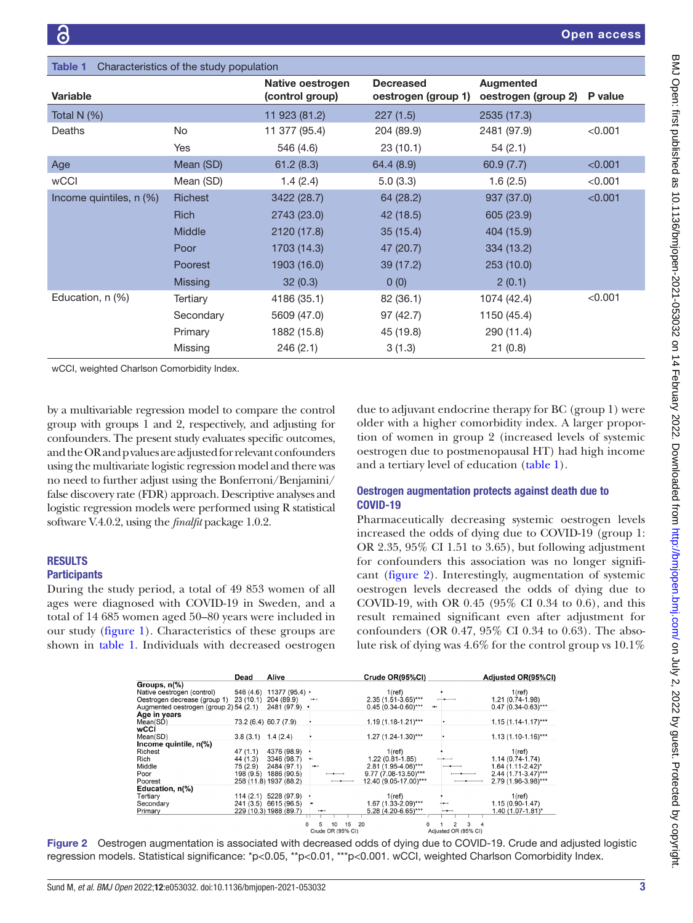<span id="page-2-0"></span>

| <b>Table 1</b><br>Characteristics of the study population |                |                                     |                                         |                                  |         |  |  |  |  |  |  |
|-----------------------------------------------------------|----------------|-------------------------------------|-----------------------------------------|----------------------------------|---------|--|--|--|--|--|--|
| <b>Variable</b>                                           |                | Native oestrogen<br>(control group) | <b>Decreased</b><br>oestrogen (group 1) | Augmented<br>oestrogen (group 2) | P value |  |  |  |  |  |  |
| Total N $(%)$                                             |                | 11 923 (81.2)                       | 227(1.5)                                | 2535 (17.3)                      |         |  |  |  |  |  |  |
| Deaths                                                    | No             | 11 377 (95.4)                       | 204 (89.9)                              | 2481 (97.9)                      | < 0.001 |  |  |  |  |  |  |
|                                                           | Yes            | 546 (4.6)                           | 23(10.1)                                | 54(2.1)                          |         |  |  |  |  |  |  |
| Age                                                       | Mean (SD)      | 61.2(8.3)                           | 64.4 (8.9)                              | 60.9(7.7)                        | < 0.001 |  |  |  |  |  |  |
| <b>wCCI</b>                                               | Mean (SD)      | 1.4(2.4)                            | 5.0(3.3)                                | 1.6(2.5)                         | < 0.001 |  |  |  |  |  |  |
| Income quintiles, n (%)                                   | Richest        | 3422 (28.7)                         | 64 (28.2)                               | 937 (37.0)                       | < 0.001 |  |  |  |  |  |  |
|                                                           | <b>Rich</b>    | 2743 (23.0)                         | 42 (18.5)                               | 605 (23.9)                       |         |  |  |  |  |  |  |
|                                                           | <b>Middle</b>  | 2120 (17.8)                         | 35(15.4)                                | 404 (15.9)                       |         |  |  |  |  |  |  |
|                                                           | Poor           | 1703 (14.3)                         | 47 (20.7)                               | 334 (13.2)                       |         |  |  |  |  |  |  |
|                                                           | Poorest        | 1903 (16.0)                         | 39 (17.2)                               | 253(10.0)                        |         |  |  |  |  |  |  |
|                                                           | <b>Missing</b> | 32(0.3)                             | 0(0)                                    | 2(0.1)                           |         |  |  |  |  |  |  |
| Education, n (%)                                          | Tertiary       | 4186 (35.1)                         | 82 (36.1)                               | 1074 (42.4)                      | < 0.001 |  |  |  |  |  |  |
|                                                           | Secondary      | 5609 (47.0)                         | 97 (42.7)                               | 1150 (45.4)                      |         |  |  |  |  |  |  |
|                                                           | Primary        | 1882 (15.8)                         | 45 (19.8)                               | 290 (11.4)                       |         |  |  |  |  |  |  |
|                                                           | Missing        | 246(2.1)                            | 3(1.3)                                  | 21(0.8)                          |         |  |  |  |  |  |  |
|                                                           |                |                                     |                                         |                                  |         |  |  |  |  |  |  |

wCCI, weighted Charlson Comorbidity Index.

by a multivariable regression model to compare the control group with groups 1 and 2, respectively, and adjusting for confounders. The present study evaluates specific outcomes, and the OR and p values are adjusted for relevant confounders using the multivariate logistic regression model and there was no need to further adjust using the Bonferroni/Benjamini/ false discovery rate (FDR) approach. Descriptive analyses and logistic regression models were performed using R statistical software V.4.0.2, using the *finalfit* package 1.0.2.

## **RESULTS**

## **Participants**

During the study period, a total of 49 853 women of all ages were diagnosed with COVID-19 in Sweden, and a total of 14 685 women aged 50–80 years were included in our study ([figure](#page-1-0) 1). Characteristics of these groups are shown in [table](#page-2-0) 1. Individuals with decreased oestrogen

due to adjuvant endocrine therapy for BC (group 1) were older with a higher comorbidity index. A larger proportion of women in group 2 (increased levels of systemic oestrogen due to postmenopausal HT) had high income and a tertiary level of education ([table](#page-2-0) 1).

## Oestrogen augmentation protects against death due to COVID-19

Pharmaceutically decreasing systemic oestrogen levels increased the odds of dying due to COVID-19 (group 1: OR 2.35, 95% CI 1.51 to 3.65), but following adjustment for confounders this association was no longer significant [\(figure](#page-2-1) 2). Interestingly, augmentation of systemic oestrogen levels decreased the odds of dying due to COVID-19, with OR 0.45 (95% CI 0.34 to 0.6), and this result remained significant even after adjustment for confounders (OR 0.47, 95% CI 0.34 to 0.63). The absolute risk of dying was 4.6% for the control group vs 10.1%

<span id="page-2-1"></span>

|                                        | Dead      | Alive                  |                   | Crude OR(95%CI)       |                      | Adjusted OR(95%CI)      |
|----------------------------------------|-----------|------------------------|-------------------|-----------------------|----------------------|-------------------------|
| Groups, n(%)                           |           |                        |                   |                       |                      |                         |
| Native oestrogen (control)             | 546 (4.6) | $11377(95.4)$ ·        |                   | $1$ (ref)             |                      | $1$ (ref)               |
| Oestrogen decrease (group 1)           | 23(10.1)  | 204 (89.9)             | $\rightarrow$     | 2.35 (1.51-3.65)***   |                      | 1.21 (0.74-1.98)        |
| Augmented oestrogen (group 2) 54 (2.1) |           | 2481 (97.9) -          |                   | $0.45(0.34-0.60)$ *** | <b>Here</b>          | $0.47(0.34-0.63)***$    |
| Age in years                           |           |                        |                   |                       |                      |                         |
| Mean(SD)                               |           | 73.2 (6.4) 60.7 (7.9)  |                   | $1.19(1.18-1.21)***$  |                      | $1.15(1.14 - 1.17)$ *** |
| wCCI                                   |           |                        |                   |                       |                      |                         |
| Mean(SD)                               | 3.8(3.1)  | 1.4(2.4)               |                   | $1.27$ (1.24-1.30)*** |                      | $1.13(1.10-1.16)***$    |
| Income quintile, n(%)                  |           |                        |                   |                       |                      |                         |
| <b>Richest</b>                         | 47 (1.1)  | 4376 (98.9)            |                   | $1$ (ref)             |                      | $1$ (ref)               |
| Rich                                   | 44 (1.3)  | 3346 (98.7)            |                   | $1.22(0.81 - 1.85)$   |                      | $1.14(0.74 - 1.74)$     |
| Middle                                 | 75 (2.9)  | 2484 (97.1)            | $\rightarrow$     | 2.81 (1.95-4.06)***   |                      | 1.64 (1.11-2.42)*       |
| Poor                                   | 198 (9.5) | 1886 (90.5)            |                   | 9.77 (7.08-13.50)***  |                      | 2.44 (1.71-3.47)***     |
| Poorest                                |           | 258 (11.8) 1937 (88.2) |                   | 12.40 (9.05-17.00)*** |                      | 2.79 (1.96-3.98)***     |
| Education, n(%)                        |           |                        |                   |                       |                      |                         |
| Tertiary                               | 114(2.1)  | 5228 (97.9)            |                   | $1$ (ref)             |                      | $1$ (ref)               |
| Secondary                              |           | 241 (3.5) 6615 (96.5)  |                   | 1.67 (1.33-2.09)***   |                      | $1.15(0.90 - 1.47)$     |
| Primary                                |           | 229 (10.3) 1988 (89.7) | $-$               | 5.28 (4.20-6.65)***   | $-$                  | 1.40 (1.07-1.81)*       |
|                                        |           |                        |                   |                       |                      |                         |
|                                        |           |                        | 15<br>10          | 20                    | 3<br>$\mathfrak{p}$  |                         |
|                                        |           |                        | Crude OR (95% CI) |                       | Adiusted OR (95% CI) |                         |

Figure 2 Oestrogen augmentation is associated with decreased odds of dying due to COVID-19. Crude and adjusted logistic regression models. Statistical significance: \*p<0.05, \*\*p<0.01, \*\*\*p<0.001. wCCI, weighted Charlson Comorbidity Index.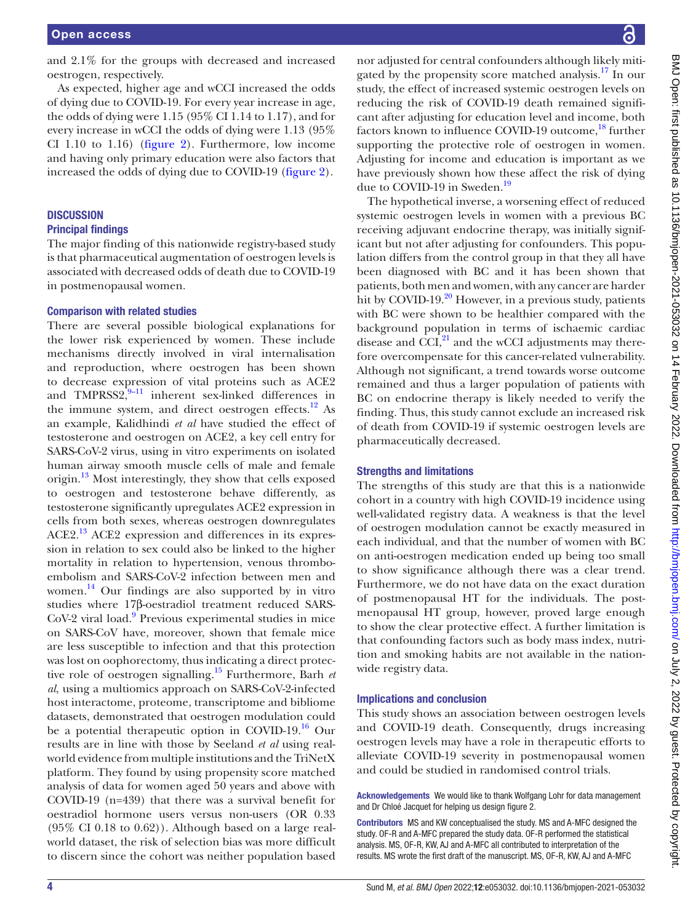and 2.1% for the groups with decreased and increased oestrogen, respectively.

As expected, higher age and wCCI increased the odds of dying due to COVID-19. For every year increase in age, the odds of dying were 1.15 (95% CI 1.14 to 1.17), and for every increase in wCCI the odds of dying were 1.13 (95% CI 1.10 to 1.16) [\(figure](#page-2-1) 2). Furthermore, low income and having only primary education were also factors that increased the odds of dying due to COVID-19 ([figure](#page-2-1) 2).

# **DISCUSSION**

## Principal findings

The major finding of this nationwide registry-based study is that pharmaceutical augmentation of oestrogen levels is associated with decreased odds of death due to COVID-19 in postmenopausal women.

## Comparison with related studies

There are several possible biological explanations for the lower risk experienced by women. These include mechanisms directly involved in viral internalisation and reproduction, where oestrogen has been shown to decrease expression of vital proteins such as ACE2 and TMPRSS2, $^{9-11}$  inherent sex-linked differences in the immune system, and direct oestrogen effects. $12$  As an example, Kalidhindi *et al* have studied the effect of testosterone and oestrogen on ACE2, a key cell entry for SARS-CoV-2 virus, using in vitro experiments on isolated human airway smooth muscle cells of male and female origin.[13](#page-4-7) Most interestingly, they show that cells exposed to oestrogen and testosterone behave differently, as testosterone significantly upregulates ACE2 expression in cells from both sexes, whereas oestrogen downregulates ACE2.[13](#page-4-7) ACE2 expression and differences in its expression in relation to sex could also be linked to the higher mortality in relation to hypertension, venous thromboembolism and SARS-CoV-2 infection between men and women. [14](#page-4-8) Our findings are also supported by in vitro studies where 17β-oestradiol treatment reduced SARS-CoV-2 viral load.<sup>9</sup> Previous experimental studies in mice on SARS-CoV have, moreover, shown that female mice are less susceptible to infection and that this protection was lost on oophorectomy, thus indicating a direct protective role of oestrogen signalling[.15](#page-4-9) Furthermore, Barh *et al*, using a multiomics approach on SARS-CoV-2-infected host interactome, proteome, transcriptome and bibliome datasets, demonstrated that oestrogen modulation could be a potential therapeutic option in COVID-19.[16](#page-4-10) Our results are in line with those by Seeland *et al* using realworld evidence from multiple institutions and the TriNetX platform. They found by using propensity score matched analysis of data for women aged 50 years and above with COVID-19 (n=439) that there was a survival benefit for oestradiol hormone users versus non-users (OR 0.33  $(95\% \text{ CI } 0.18 \text{ to } 0.62)$ . Although based on a large realworld dataset, the risk of selection bias was more difficult to discern since the cohort was neither population based

nor adjusted for central confounders although likely mitigated by the propensity score matched analysis.<sup>17</sup> In our study, the effect of increased systemic oestrogen levels on reducing the risk of COVID-19 death remained significant after adjusting for education level and income, both factors known to influence COVID-19 outcome,<sup>18</sup> further supporting the protective role of oestrogen in women. Adjusting for income and education is important as we have previously shown how these affect the risk of dying due to COVID-[19](#page-4-13) in Sweden.<sup>19</sup>

The hypothetical inverse, a worsening effect of reduced systemic oestrogen levels in women with a previous BC receiving adjuvant endocrine therapy, was initially significant but not after adjusting for confounders. This population differs from the control group in that they all have been diagnosed with BC and it has been shown that patients, both men and women, with any cancer are harder hit by COVID-19.<sup>20</sup> However, in a previous study, patients with BC were shown to be healthier compared with the background population in terms of ischaemic cardiac disease and CCI $,$ <sup>21</sup> and the wCCI adjustments may therefore overcompensate for this cancer-related vulnerability. Although not significant, a trend towards worse outcome remained and thus a larger population of patients with BC on endocrine therapy is likely needed to verify the finding. Thus, this study cannot exclude an increased risk of death from COVID-19 if systemic oestrogen levels are pharmaceutically decreased.

## Strengths and limitations

The strengths of this study are that this is a nationwide cohort in a country with high COVID-19 incidence using well-validated registry data. A weakness is that the level of oestrogen modulation cannot be exactly measured in each individual, and that the number of women with BC on anti-oestrogen medication ended up being too small to show significance although there was a clear trend. Furthermore, we do not have data on the exact duration of postmenopausal HT for the individuals. The postmenopausal HT group, however, proved large enough to show the clear protective effect. A further limitation is that confounding factors such as body mass index, nutrition and smoking habits are not available in the nationwide registry data.

## Implications and conclusion

This study shows an association between oestrogen levels and COVID-19 death. Consequently, drugs increasing oestrogen levels may have a role in therapeutic efforts to alleviate COVID-19 severity in postmenopausal women and could be studied in randomised control trials.

Acknowledgements We would like to thank Wolfgang Lohr for data management and Dr Chloé Jacquet for helping us design figure 2.

Contributors MS and KW conceptualised the study. MS and A-MFC designed the study. OF-R and A-MFC prepared the study data. OF-R performed the statistical analysis. MS, OF-R, KW, AJ and A-MFC all contributed to interpretation of the results. MS wrote the first draft of the manuscript. MS, OF-R, KW, AJ and A-MFC